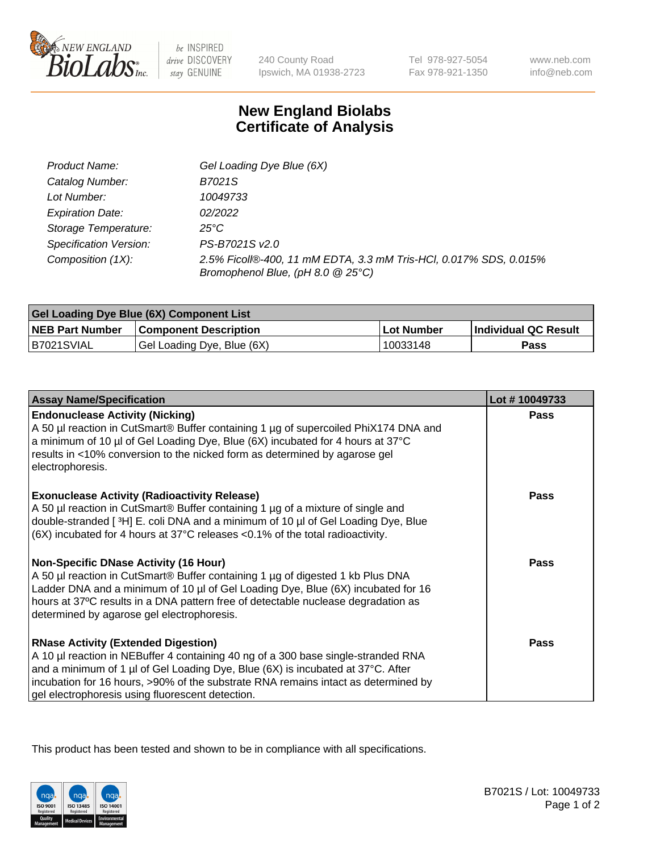

 $be$  INSPIRED drive DISCOVERY stay GENUINE

240 County Road Ipswich, MA 01938-2723 Tel 978-927-5054 Fax 978-921-1350 www.neb.com info@neb.com

## **New England Biolabs Certificate of Analysis**

| Product Name:           | Gel Loading Dye Blue (6X)                                                                              |
|-------------------------|--------------------------------------------------------------------------------------------------------|
| Catalog Number:         | B7021S                                                                                                 |
| Lot Number:             | 10049733                                                                                               |
| <b>Expiration Date:</b> | 02/2022                                                                                                |
| Storage Temperature:    | 25°C                                                                                                   |
| Specification Version:  | PS-B7021S v2.0                                                                                         |
| Composition (1X):       | 2.5% Ficoll®-400, 11 mM EDTA, 3.3 mM Tris-HCl, 0.017% SDS, 0.015%<br>Bromophenol Blue, (pH 8.0 @ 25°C) |

| Gel Loading Dye Blue (6X) Component List |                              |            |                      |  |
|------------------------------------------|------------------------------|------------|----------------------|--|
| <b>NEB Part Number</b>                   | <b>Component Description</b> | Lot Number | Individual QC Result |  |
| B7021SVIAL                               | Gel Loading Dye, Blue (6X)   | 10033148   | Pass                 |  |

| <b>Assay Name/Specification</b>                                                                                                                                                                                                                                                                                                                              | Lot #10049733 |
|--------------------------------------------------------------------------------------------------------------------------------------------------------------------------------------------------------------------------------------------------------------------------------------------------------------------------------------------------------------|---------------|
| <b>Endonuclease Activity (Nicking)</b><br>A 50 µl reaction in CutSmart® Buffer containing 1 µg of supercoiled PhiX174 DNA and<br>a minimum of 10 µl of Gel Loading Dye, Blue (6X) incubated for 4 hours at 37°C<br>results in <10% conversion to the nicked form as determined by agarose gel<br>electrophoresis.                                            | Pass          |
| <b>Exonuclease Activity (Radioactivity Release)</b><br>A 50 µl reaction in CutSmart® Buffer containing 1 µg of a mixture of single and<br>double-stranded [3H] E. coli DNA and a minimum of 10 µl of Gel Loading Dye, Blue<br>$(6X)$ incubated for 4 hours at 37 $^{\circ}$ C releases <0.1% of the total radioactivity.                                     | <b>Pass</b>   |
| <b>Non-Specific DNase Activity (16 Hour)</b><br>A 50 µl reaction in CutSmart® Buffer containing 1 µg of digested 1 kb Plus DNA<br>Ladder DNA and a minimum of 10 µl of Gel Loading Dye, Blue (6X) incubated for 16<br>hours at 37°C results in a DNA pattern free of detectable nuclease degradation as<br>determined by agarose gel electrophoresis.        | <b>Pass</b>   |
| <b>RNase Activity (Extended Digestion)</b><br>A 10 µl reaction in NEBuffer 4 containing 40 ng of a 300 base single-stranded RNA<br>and a minimum of 1 µl of Gel Loading Dye, Blue (6X) is incubated at 37°C. After<br>incubation for 16 hours, >90% of the substrate RNA remains intact as determined by<br>gel electrophoresis using fluorescent detection. | <b>Pass</b>   |

This product has been tested and shown to be in compliance with all specifications.